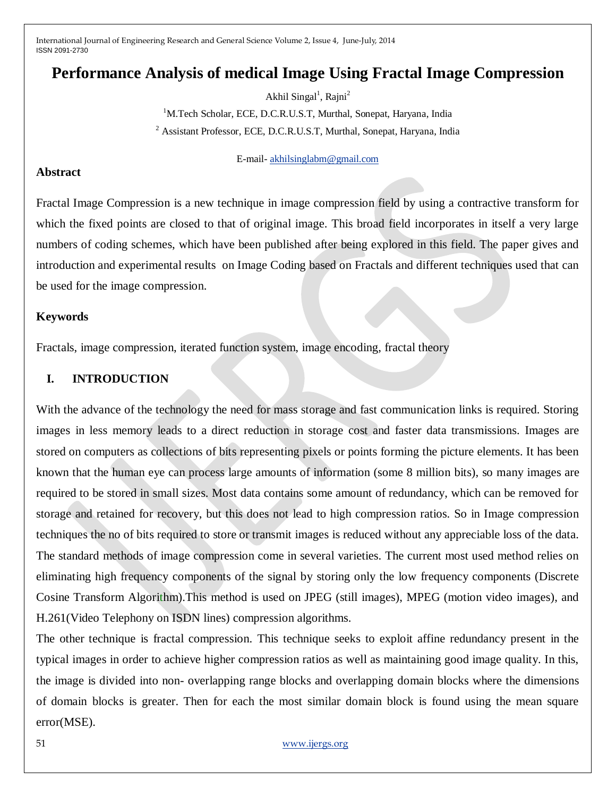# **Performance Analysis of medical Image Using Fractal Image Compression**

Akhil Singal<sup>1</sup>, Rajni<sup>2</sup> <sup>1</sup>M.Tech Scholar, ECE, D.C.R.U.S.T, Murthal, Sonepat, Haryana, India <sup>2</sup> Assistant Professor, ECE, D.C.R.U.S.T, Murthal, Sonepat, Haryana, India

E-mail- [akhilsinglabm@gmail.com](mailto:akhilsinglabm@gmail.com)

#### **Abstract**

Fractal Image Compression is a new technique in image compression field by using a contractive transform for which the fixed points are closed to that of original image. This broad field incorporates in itself a very large numbers of coding schemes, which have been published after being explored in this field. The paper gives and introduction and experimental results on Image Coding based on Fractals and different techniques used that can be used for the image compression.

#### **Keywords**

Fractals, image compression, iterated function system, image encoding, fractal theory

### **I. INTRODUCTION**

With the advance of the technology the need for mass storage and fast communication links is required. Storing images in less memory leads to a direct reduction in storage cost and faster data transmissions. Images are stored on computers as collections of bits representing pixels or points forming the picture elements. It has been known that the human eye can process large amounts of information (some 8 million bits), so many images are required to be stored in small sizes. Most data contains some amount of redundancy, which can be removed for storage and retained for recovery, but this does not lead to high compression ratios. So in Image compression techniques the no of bits required to store or transmit images is reduced without any appreciable loss of the data. The standard methods of image compression come in several varieties. The current most used method relies on eliminating high frequency components of the signal by storing only the low frequency components (Discrete Cosine Transform Algorithm).This method is used on JPEG (still images), MPEG (motion video images), and H.261(Video Telephony on ISDN lines) compression algorithms.

The other technique is fractal compression. This technique seeks to exploit affine redundancy present in the typical images in order to achieve higher compression ratios as well as maintaining good image quality. In this, the image is divided into non- overlapping range blocks and overlapping domain blocks where the dimensions of domain blocks is greater. Then for each the most similar domain block is found using the mean square error(MSE).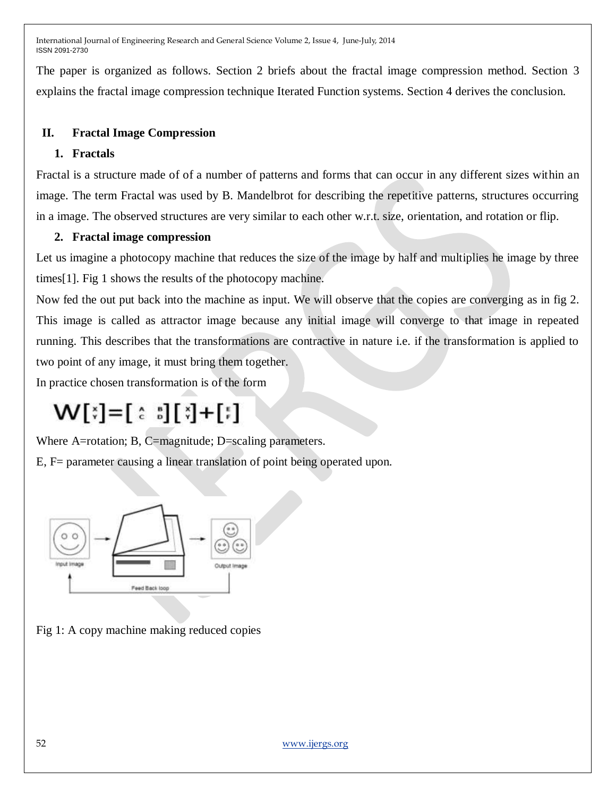The paper is organized as follows. Section 2 briefs about the fractal image compression method. Section 3 explains the fractal image compression technique Iterated Function systems. Section 4 derives the conclusion.

# **II. Fractal Image Compression**

# **1. Fractals**

Fractal is a structure made of of a number of patterns and forms that can occur in any different sizes within an image. The term Fractal was used by B. Mandelbrot for describing the repetitive patterns, structures occurring in a image. The observed structures are very similar to each other w.r.t. size, orientation, and rotation or flip.

# **2. Fractal image compression**

Let us imagine a photocopy machine that reduces the size of the image by half and multiplies he image by three times[1]. Fig 1 shows the results of the photocopy machine.

Now fed the out put back into the machine as input. We will observe that the copies are converging as in fig 2. This image is called as attractor image because any initial image will converge to that image in repeated running. This describes that the transformations are contractive in nature i.e. if the transformation is applied to two point of any image, it must bring them together.

In practice chosen transformation is of the form

# $W[3] = [3] [3] + [3]$

Where A=rotation; B, C=magnitude; D=scaling parameters.

E, F= parameter causing a linear translation of point being operated upon.



Fig 1: A copy machine making reduced copies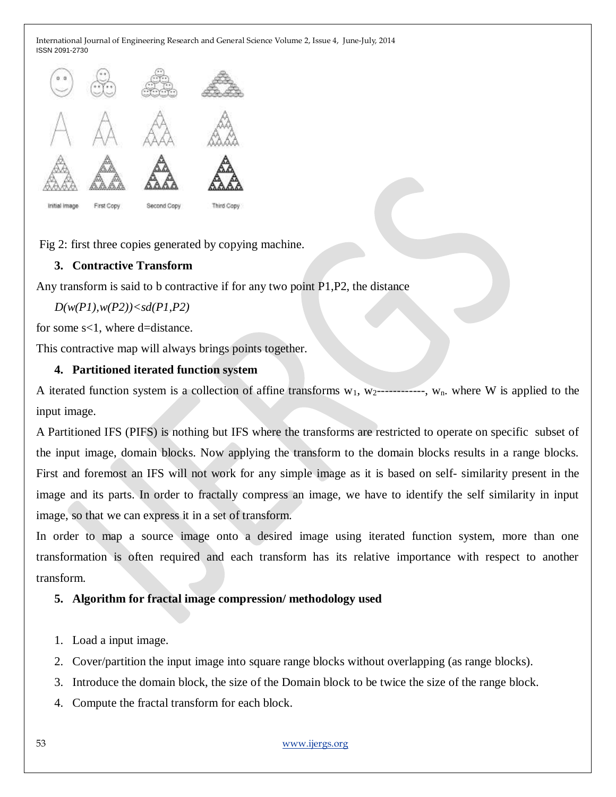

Fig 2: first three copies generated by copying machine.

# **3. Contractive Transform**

Any transform is said to b contractive if for any two point P1,P2, the distance

*D(w(P1),w(P2))<sd(P1,P2)*

for some s<1, where d=distance.

This contractive map will always brings points together.

### **4. Partitioned iterated function system**

A iterated function system is a collection of affine transforms  $w_1$ ,  $w_2$ -----------,  $w_n$ . where W is applied to the input image.

A Partitioned IFS (PIFS) is nothing but IFS where the transforms are restricted to operate on specific subset of the input image, domain blocks. Now applying the transform to the domain blocks results in a range blocks. First and foremost an IFS will not work for any simple image as it is based on self- similarity present in the image and its parts. In order to fractally compress an image, we have to identify the self similarity in input image, so that we can express it in a set of transform.

In order to map a source image onto a desired image using iterated function system, more than one transformation is often required and each transform has its relative importance with respect to another transform.

# **5. Algorithm for fractal image compression/ methodology used**

- 1. Load a input image.
- 2. Cover/partition the input image into square range blocks without overlapping (as range blocks).
- 3. Introduce the domain block, the size of the Domain block to be twice the size of the range block.
- 4. Compute the fractal transform for each block.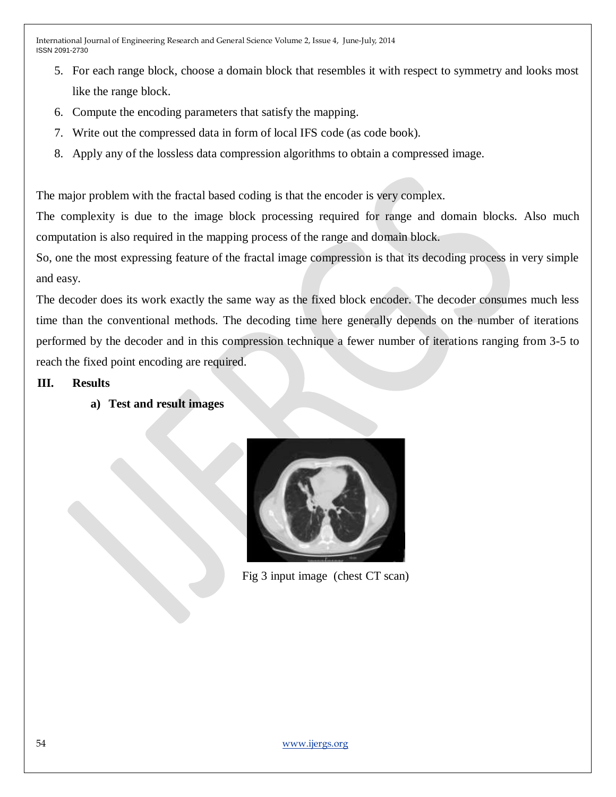- 5. For each range block, choose a domain block that resembles it with respect to symmetry and looks most like the range block.
- 6. Compute the encoding parameters that satisfy the mapping.
- 7. Write out the compressed data in form of local IFS code (as code book).
- 8. Apply any of the lossless data compression algorithms to obtain a compressed image.

The major problem with the fractal based coding is that the encoder is very complex.

The complexity is due to the image block processing required for range and domain blocks. Also much computation is also required in the mapping process of the range and domain block.

So, one the most expressing feature of the fractal image compression is that its decoding process in very simple and easy.

The decoder does its work exactly the same way as the fixed block encoder. The decoder consumes much less time than the conventional methods. The decoding time here generally depends on the number of iterations performed by the decoder and in this compression technique a fewer number of iterations ranging from 3-5 to reach the fixed point encoding are required.

# **III. Results**

**a) Test and result images**



Fig 3 input image (chest CT scan)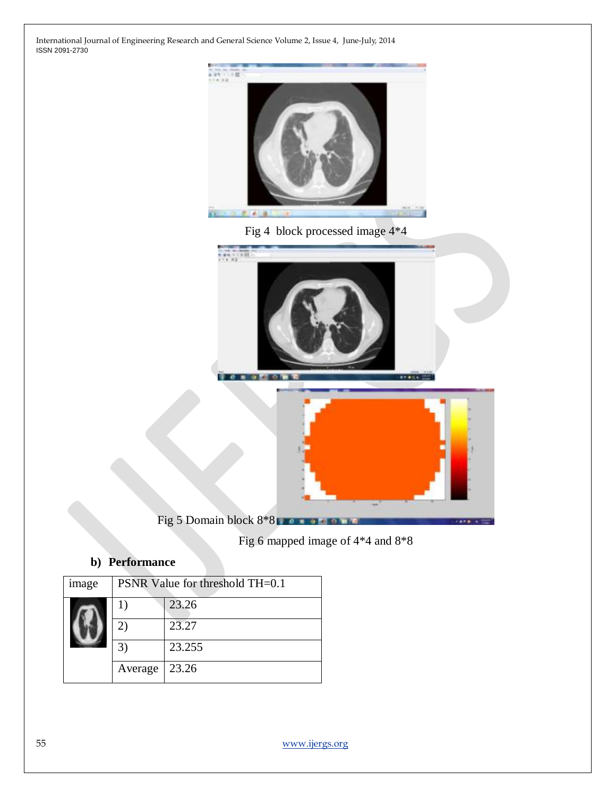





Fig 5 Domain block 8\*8

Fig 6 mapped image of 4\*4 and 8\*8

# **b) Performance**

| image | PSNR Value for threshold TH=0.1 |        |
|-------|---------------------------------|--------|
|       | 1)                              | 23.26  |
|       | 21                              | 23.27  |
|       | $3^{\circ}$                     | 23.255 |
|       | Average                         | 23.26  |
|       |                                 |        |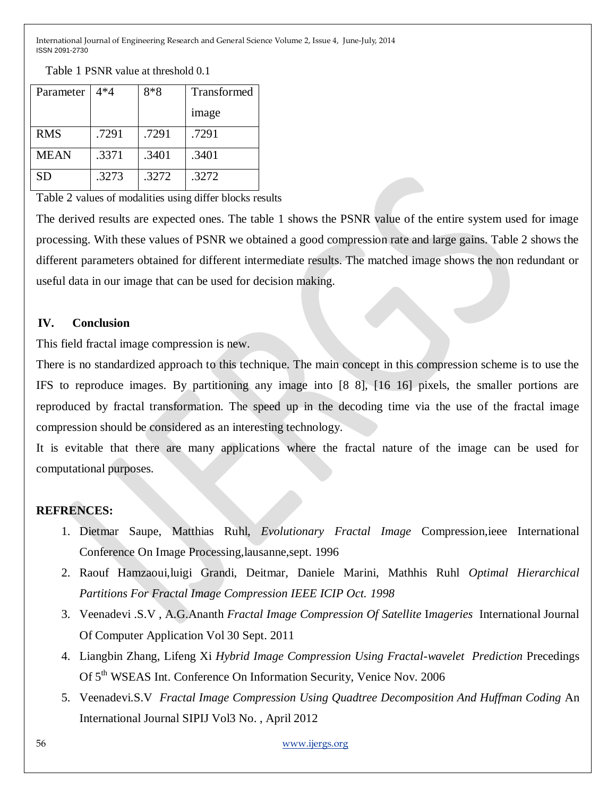Parameter 4\*4 | 8\*8 | Transformed image RMS 1.7291 .7291 .7291 MEAN .3371 .3401 .3401 SD .3273 .3272 .3272

Table 1 PSNR value at threshold 0.1

Table 2 values of modalities using differ blocks results

The derived results are expected ones. The table 1 shows the PSNR value of the entire system used for image processing. With these values of PSNR we obtained a good compression rate and large gains. Table 2 shows the different parameters obtained for different intermediate results. The matched image shows the non redundant or useful data in our image that can be used for decision making.

# **IV. Conclusion**

This field fractal image compression is new.

There is no standardized approach to this technique. The main concept in this compression scheme is to use the IFS to reproduce images. By partitioning any image into [8 8], [16 16] pixels, the smaller portions are reproduced by fractal transformation. The speed up in the decoding time via the use of the fractal image compression should be considered as an interesting technology.

It is evitable that there are many applications where the fractal nature of the image can be used for computational purposes.

# **REFRENCES:**

- 1. Dietmar Saupe, Matthias Ruhl, *Evolutionary Fractal Image* Compression,ieee International Conference On Image Processing,lausanne,sept. 1996
- 2. Raouf Hamzaoui,luigi Grandi, Deitmar, Daniele Marini, Mathhis Ruhl *Optimal Hierarchical Partitions For Fractal Image Compression IEEE ICIP Oct. 1998*
- 3. Veenadevi .S.V , A.G.Ananth *Fractal Image Compression Of Satellite* I*mageries* International Journal Of Computer Application Vol 30 Sept. 2011
- 4. Liangbin Zhang, Lifeng Xi *Hybrid Image Compression Using Fractal-wavelet Prediction* Precedings Of 5<sup>th</sup> WSEAS Int. Conference On Information Security, Venice Nov. 2006
- 5. Veenadevi.S.V *Fractal Image Compression Using Quadtree Decomposition And Huffman Coding* An International Journal SIPIJ Vol3 No. , April 2012